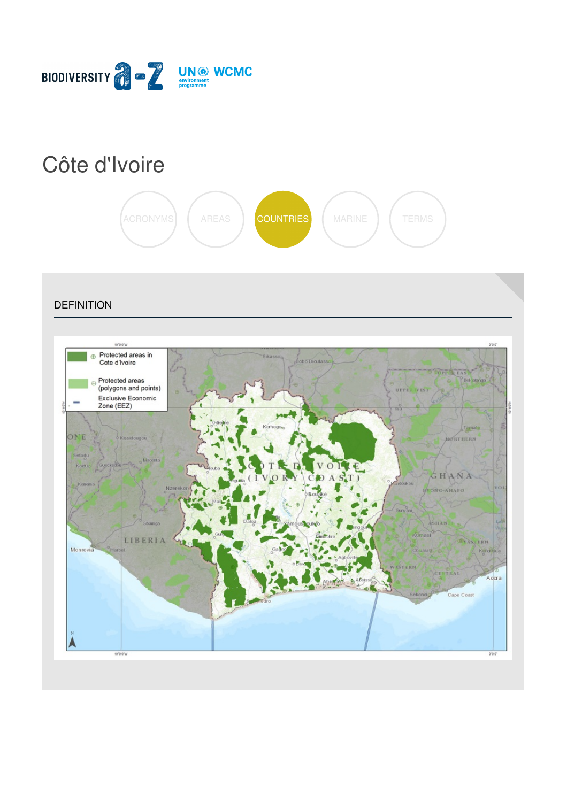

# Côte [d'Ivoire](https://biodiversitya-z.org/content/cote-d-ivoire)



**DEFINITION** Protected areas in  $\oplus$ Cote d'Ivoire **FIREAS** Protected areas Bolostanga (polygons and points) UPPER WEST Exclusive Economic<br>Zone (EEZ) Tam ONE NORTHERN infad GHANA ж RC-AHAPO SHANTI & LIBERIA  $\sim$ Monrovi Küldrijua Accra Cape Coast  $\frac{1}{10000}$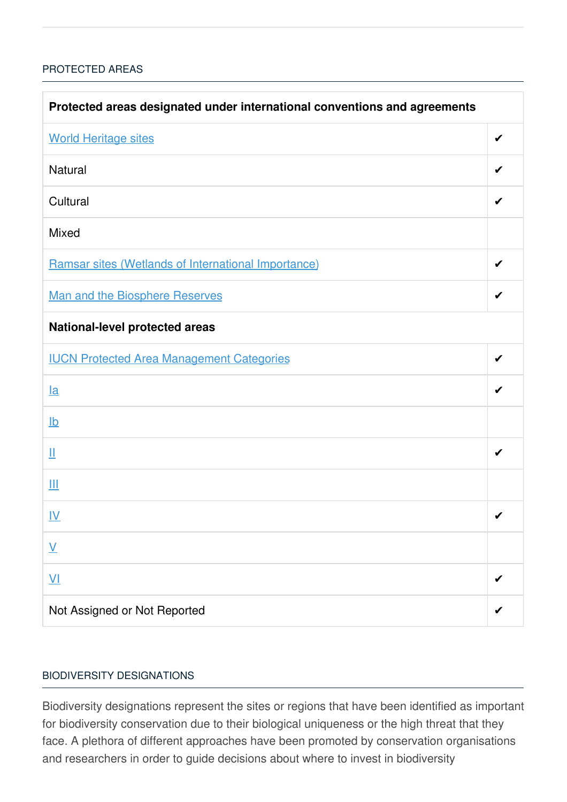## [PROTECTED](javascript:void(0)) AREAS

| Protected areas designated under international conventions and agreements |   |  |
|---------------------------------------------------------------------------|---|--|
| <b>World Heritage sites</b>                                               | ✔ |  |
| Natural                                                                   | ✔ |  |
| Cultural                                                                  |   |  |
| Mixed                                                                     |   |  |
| Ramsar sites (Wetlands of International Importance)                       | ✔ |  |
| <b>Man and the Biosphere Reserves</b>                                     | ✔ |  |
| <b>National-level protected areas</b>                                     |   |  |
| <b>IUCN Protected Area Management Categories</b>                          | ✔ |  |
| <u>la</u>                                                                 |   |  |
| $\underline{\mathsf{lb}}$                                                 |   |  |
| Щ                                                                         | ✔ |  |
| Ш                                                                         |   |  |
| IV                                                                        | ✔ |  |
| $\underline{\mathsf{V}}$                                                  |   |  |
| $\underline{\mathsf{V}}$                                                  |   |  |
| Not Assigned or Not Reported                                              |   |  |

## BIODIVERSITY [DESIGNATIONS](javascript:void(0))

Biodiversity designations represent the sites or regions that have been identified as important for biodiversity conservation due to their biological uniqueness or the high threat that they face. A plethora of different approaches have been promoted by conservation organisations and researchers in order to guide decisions about where to invest in biodiversity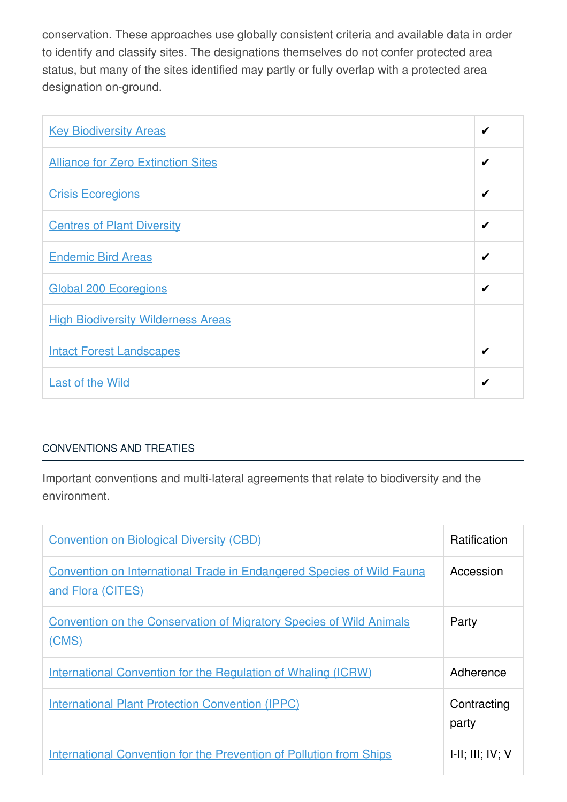conservation. These approaches use globally consistent criteria and available data in order to identify and classify sites. The designations themselves do not confer protected area status, but many of the sites identified may partly or fully overlap with a protected area designation on-ground.

| <b>Key Biodiversity Areas</b>             | ✔ |
|-------------------------------------------|---|
| <b>Alliance for Zero Extinction Sites</b> | ✔ |
| <b>Crisis Ecoregions</b>                  | ✔ |
| <b>Centres of Plant Diversity</b>         | ✔ |
| <b>Endemic Bird Areas</b>                 | ✔ |
| <b>Global 200 Ecoregions</b>              | ✔ |
| <b>High Biodiversity Wilderness Areas</b> |   |
| <b>Intact Forest Landscapes</b>           | ✔ |
| <b>Last of the Wild</b>                   | ✔ |

# [CONVENTIONS](javascript:void(0)) AND TREATIES

Important conventions and multi-lateral agreements that relate to biodiversity and the environment.

| <b>Convention on Biological Diversity (CBD)</b>                                                   | <b>Ratification</b>  |
|---------------------------------------------------------------------------------------------------|----------------------|
| <b>Convention on International Trade in Endangered Species of Wild Fauna</b><br>and Flora (CITES) | Accession            |
| <b>Convention on the Conservation of Migratory Species of Wild Animals</b><br>(CMS)               | Party                |
| International Convention for the Regulation of Whaling (ICRW)                                     | Adherence            |
| <b>International Plant Protection Convention (IPPC)</b>                                           | Contracting<br>party |
| <b>International Convention for the Prevention of Pollution from Ships</b>                        | H, III, IV, V        |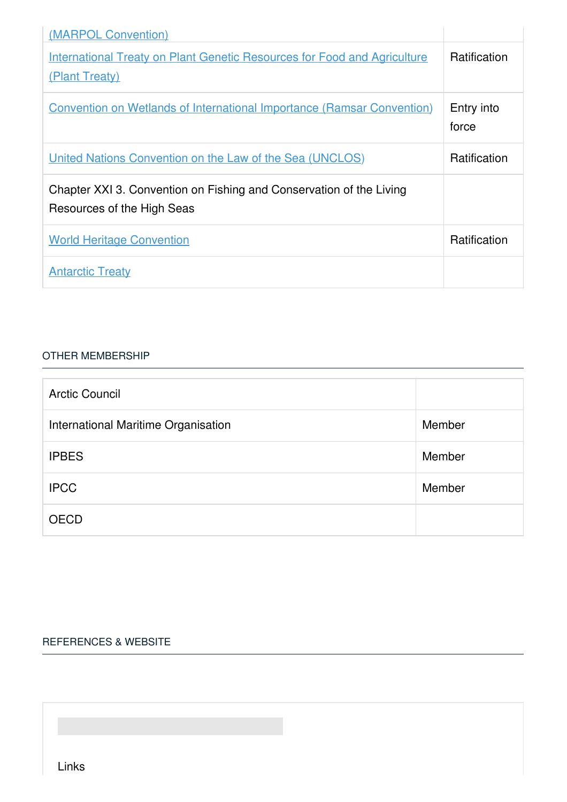| (MARPOL Convention)                                                                               |                     |
|---------------------------------------------------------------------------------------------------|---------------------|
| <b>International Treaty on Plant Genetic Resources for Food and Agriculture</b><br>(Plant Treaty) | Ratification        |
| <b>Convention on Wetlands of International Importance (Ramsar Convention)</b>                     | Entry into<br>force |
| United Nations Convention on the Law of the Sea (UNCLOS)                                          | Ratification        |
| Chapter XXI 3. Convention on Fishing and Conservation of the Living<br>Resources of the High Seas |                     |
| <b>World Heritage Convention</b>                                                                  | Ratification        |
| <b>Antarctic Treaty</b>                                                                           |                     |

### OTHER [MEMBERSHIP](javascript:void(0))

| <b>Arctic Council</b>               |        |
|-------------------------------------|--------|
| International Maritime Organisation | Member |
| <b>IPBES</b>                        | Member |
| <b>IPCC</b>                         | Member |
| <b>OECD</b>                         |        |

### [REFERENCES](javascript:void(0)) & WEBSITE